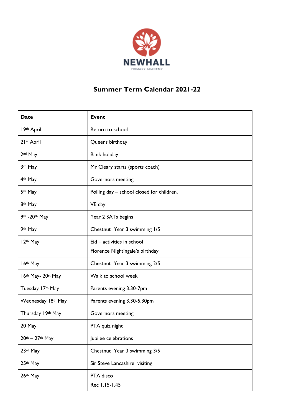

## **Summer Term Calendar 2021-22**

| <b>Date</b>                                 | <b>Event</b>                              |
|---------------------------------------------|-------------------------------------------|
| 19th April                                  | Return to school                          |
| 21st April                                  | Queens birthday                           |
| 2 <sup>nd</sup> May                         | Bank holiday                              |
| 3rd May                                     | Mr Cleary starts (sports coach)           |
| 4th May                                     | Governors meeting                         |
| 5th May                                     | Polling day - school closed for children. |
| 8th May                                     | VE day                                    |
| 9th - 20th May                              | Year 2 SATs begins                        |
| 9th May                                     | Chestnut Year 3 swimming 1/5              |
| 12th May                                    | Eid - activities in school                |
|                                             | Florence Nightingale's birthday           |
| 16th May                                    | Chestnut Year 3 swimming 2/5              |
| 16th May- 20st May                          | Walk to school week                       |
| Tuesday 17th May                            | Parents evening 3.30-7pm                  |
| Wednesday 18th May                          | Parents evening 3.30-5.30pm               |
| Thursday 19th May                           | Governors meeting                         |
| 20 May                                      | PTA quiz night                            |
| $20$ <sup>th</sup> - $27$ <sup>th</sup> May | Jubilee celebrations                      |
| 23rd May                                    | Chestnut Year 3 swimming 3/5              |
| 25th May                                    | Sir Steve Lancashire visiting             |
| 26th May                                    | PTA disco                                 |
|                                             | Rec 1.15-1.45                             |